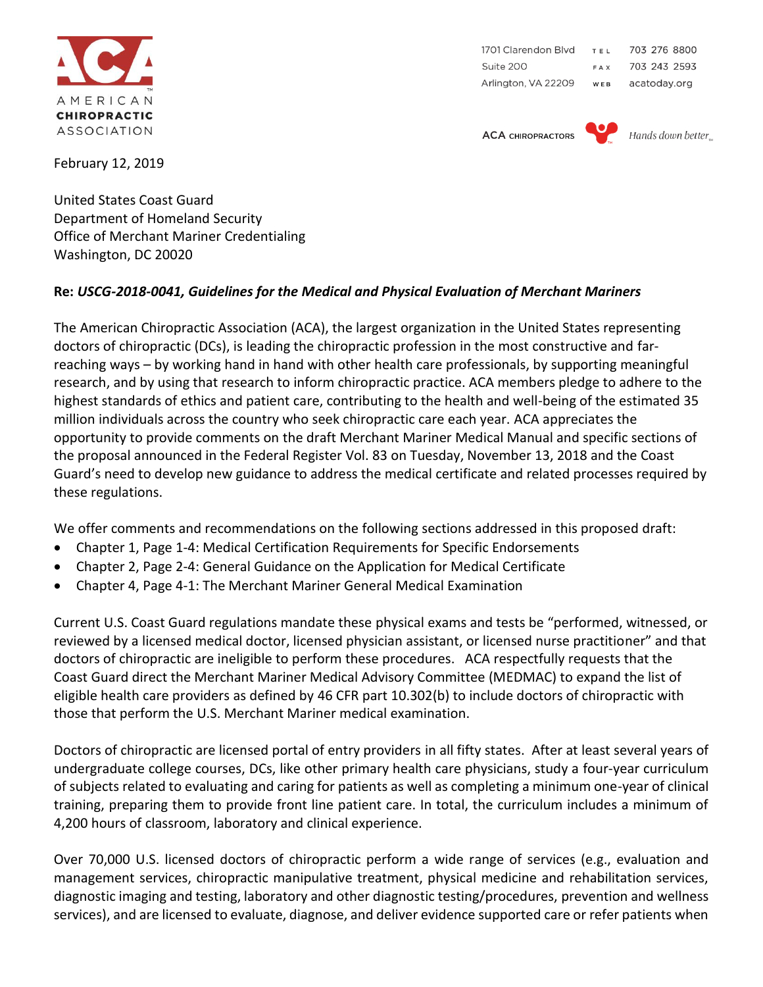

1701 Clarendon Blvd 703 276 8800 TEL 703 243 2593 Suite 200 FAX Arlington, VA 22209 acatoday.org WEB

**ACA CHIROPRACTORS** 



Hands down better

February 12, 2019

United States Coast Guard Department of Homeland Security Office of Merchant Mariner Credentialing Washington, DC 20020

## **Re:** *USCG-2018-0041, Guidelines for the Medical and Physical Evaluation of Merchant Mariners*

The American Chiropractic Association (ACA), the largest organization in the United States representing doctors of chiropractic (DCs), is leading the chiropractic profession in the most constructive and farreaching ways – by working hand in hand with other health care professionals, by supporting meaningful research, and by using that research to inform chiropractic practice. ACA members pledge to adhere to the highest standards of ethics and patient care, contributing to the health and well-being of the estimated 35 million individuals across the country who seek chiropractic care each year. ACA appreciates the opportunity to provide comments on the draft Merchant Mariner Medical Manual and specific sections of the proposal announced in the Federal Register Vol. 83 on Tuesday, November 13, 2018 and the Coast Guard's need to develop new guidance to address the medical certificate and related processes required by these regulations.

We offer comments and recommendations on the following sections addressed in this proposed draft:

- Chapter 1, Page 1-4: Medical Certification Requirements for Specific Endorsements
- Chapter 2, Page 2-4: General Guidance on the Application for Medical Certificate
- Chapter 4, Page 4-1: The Merchant Mariner General Medical Examination

Current U.S. Coast Guard regulations mandate these physical exams and tests be "performed, witnessed, or reviewed by a licensed medical doctor, licensed physician assistant, or licensed nurse practitioner" and that doctors of chiropractic are ineligible to perform these procedures. ACA respectfully requests that the Coast Guard direct the Merchant Mariner Medical Advisory Committee (MEDMAC) to expand the list of eligible health care providers as defined by 46 CFR part 10.302(b) to include doctors of chiropractic with those that perform the U.S. Merchant Mariner medical examination.

Doctors of chiropractic are licensed portal of entry providers in all fifty states. After at least several years of undergraduate college courses, DCs, like other primary health care physicians, study a four-year curriculum of subjects related to evaluating and caring for patients as well as completing a minimum one-year of clinical training, preparing them to provide front line patient care. In total, the curriculum includes a minimum of 4,200 hours of classroom, laboratory and clinical experience.

Over 70,000 U.S. licensed doctors of chiropractic perform a wide range of services (e.g., evaluation and management services, chiropractic manipulative treatment, physical medicine and rehabilitation services, diagnostic imaging and testing, laboratory and other diagnostic testing/procedures, prevention and wellness services), and are licensed to evaluate, diagnose, and deliver evidence supported care or refer patients when